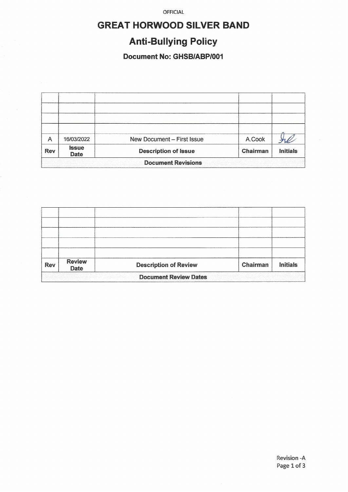OFFICIAL

# **GREAT HORWOOD SILVER BAND**

# **Anti-Bullying Policy**

#### Document No: GHSB/ABP/001

| Α                         | 16/03/2022                  | New Document - First Issue  | A.Cook   |                 |  |  |  |  |
|---------------------------|-----------------------------|-----------------------------|----------|-----------------|--|--|--|--|
| <b>Rev</b>                | <b>Issue</b><br><b>Date</b> | <b>Description of Issue</b> | Chairman | <b>Initials</b> |  |  |  |  |
| <b>Document Revisions</b> |                             |                             |          |                 |  |  |  |  |

| Rev                          | <b>Review</b><br>Date | <b>Description of Review</b> | Chairman | <b>Initials</b> |  |  |  |
|------------------------------|-----------------------|------------------------------|----------|-----------------|--|--|--|
| <b>Document Review Dates</b> |                       |                              |          |                 |  |  |  |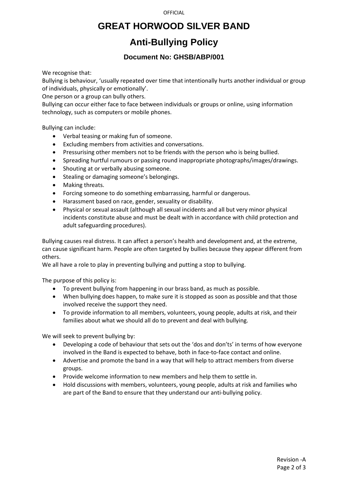#### **GREAT HORWOOD SILVER BAND**

### **Anti-Bullying Policy**

#### **Document No: GHSB/ABP/001**

We recognise that:

Bullying is behaviour, 'usually repeated over time that intentionally hurts another individual or group of individuals, physically or emotionally'.

One person or a group can bully others.

Bullying can occur either face to face between individuals or groups or online, using information technology, such as computers or mobile phones.

Bullying can include:

- Verbal teasing or making fun of someone.
- Excluding members from activities and conversations.
- Pressurising other members not to be friends with the person who is being bullied.
- Spreading hurtful rumours or passing round inappropriate photographs/images/drawings.
- Shouting at or verbally abusing someone.
- Stealing or damaging someone's belongings.
- Making threats.
- Forcing someone to do something embarrassing, harmful or dangerous.
- Harassment based on race, gender, sexuality or disability.
- Physical or sexual assault (although all sexual incidents and all but very minor physical incidents constitute abuse and must be dealt with in accordance with child protection and adult safeguarding procedures).

Bullying causes real distress. It can affect a person's health and development and, at the extreme, can cause significant harm. People are often targeted by bullies because they appear different from others.

We all have a role to play in preventing bullying and putting a stop to bullying.

The purpose of this policy is:

- To prevent bullying from happening in our brass band, as much as possible.
- When bullying does happen, to make sure it is stopped as soon as possible and that those involved receive the support they need.
- To provide information to all members, volunteers, young people, adults at risk, and their families about what we should all do to prevent and deal with bullying.

We will seek to prevent bullying by:

- Developing a code of behaviour that sets out the 'dos and don'ts' in terms of how everyone involved in the Band is expected to behave, both in face-to-face contact and online.
- Advertise and promote the band in a way that will help to attract members from diverse groups.
- Provide welcome information to new members and help them to settle in.
- Hold discussions with members, volunteers, young people, adults at risk and families who are part of the Band to ensure that they understand our anti-bullying policy.